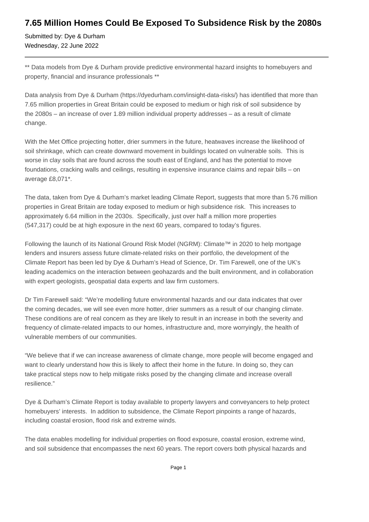# **7.65 Million Homes Could Be Exposed To Subsidence Risk by the 2080s**

Submitted by: Dye & Durham Wednesday, 22 June 2022

\*\* Data models from Dye & Durham provide predictive environmental hazard insights to homebuyers and property, financial and insurance professionals \*\*

Data analysis from Dye & Durham (https://dyedurham.com/insight-data-risks/) has identified that more than 7.65 million properties in Great Britain could be exposed to medium or high risk of soil subsidence by the 2080s – an increase of over 1.89 million individual property addresses – as a result of climate change.

With the Met Office projecting hotter, drier summers in the future, heatwaves increase the likelihood of soil shrinkage, which can create downward movement in buildings located on vulnerable soils. This is worse in clay soils that are found across the south east of England, and has the potential to move foundations, cracking walls and ceilings, resulting in expensive insurance claims and repair bills – on average £8,071\*.

The data, taken from Dye & Durham's market leading Climate Report, suggests that more than 5.76 million properties in Great Britain are today exposed to medium or high subsidence risk. This increases to approximately 6.64 million in the 2030s. Specifically, just over half a million more properties (547,317) could be at high exposure in the next 60 years, compared to today's figures.

Following the launch of its National Ground Risk Model (NGRM): Climate™ in 2020 to help mortgage lenders and insurers assess future climate-related risks on their portfolio, the development of the Climate Report has been led by Dye & Durham's Head of Science, Dr. Tim Farewell, one of the UK's leading academics on the interaction between geohazards and the built environment, and in collaboration with expert geologists, geospatial data experts and law firm customers.

Dr Tim Farewell said: "We're modelling future environmental hazards and our data indicates that over the coming decades, we will see even more hotter, drier summers as a result of our changing climate. These conditions are of real concern as they are likely to result in an increase in both the severity and frequency of climate-related impacts to our homes, infrastructure and, more worryingly, the health of vulnerable members of our communities.

"We believe that if we can increase awareness of climate change, more people will become engaged and want to clearly understand how this is likely to affect their home in the future. In doing so, they can take practical steps now to help mitigate risks posed by the changing climate and increase overall resilience."

Dye & Durham's Climate Report is today available to property lawyers and conveyancers to help protect homebuyers' interests. In addition to subsidence, the Climate Report pinpoints a range of hazards, including coastal erosion, flood risk and extreme winds.

The data enables modelling for individual properties on flood exposure, coastal erosion, extreme wind, and soil subsidence that encompasses the next 60 years. The report covers both physical hazards and